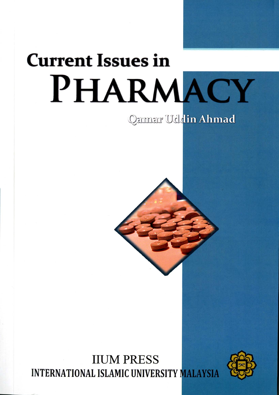# **Current Issues in** PHARMACY

## Qamar Uddin Ahmad

**IIUM PRESS INTERNATIONAL ISLAMIC UNIVERSITY MALAYSIA** 

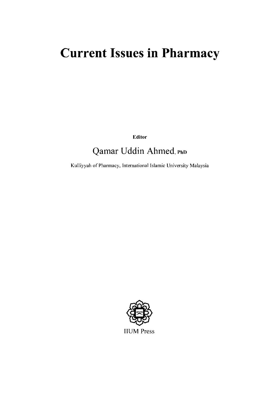## **Current Issues in Pharmacy**

Editor

### Qamar Uddin Ahmed, PhD

Kulliyyah of Pharmacy, International Islamic University Malaysia

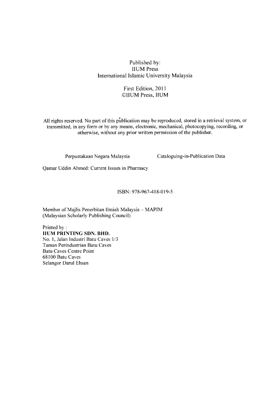#### Published by: **IIUM** Press International Islamic University Malaysia

#### First Edition, 2011 ©IIUM Press, IIUM

All rights reserved. No part of this publication may be reproduced, stored in a retrieval system, or transmitted, in any form or by any means, electronic, mechanical, photocopying, recording, or otherwise, without any prior written permission of the publisher.

Perpustakaan Negara Malaysia

Cataloguing-in-Publication Data

Qamar Uddin Ahmed: Current Issues in Pharmacy

ISBN: 978-967-418-019-5

Member of Majlis Penerbitan Ilmiah Malaysia - MAPIM (Malaysian Scholarly Publishing Council)

Printed by: **IIUM PRINTING SDN. BHD.** No. 1, Jalan Industri Batu Caves 1/3 Taman Perindustrian Batu Caves **Batu Caves Centre Point** 68100 Batu Caves Selangor Darul Ehsan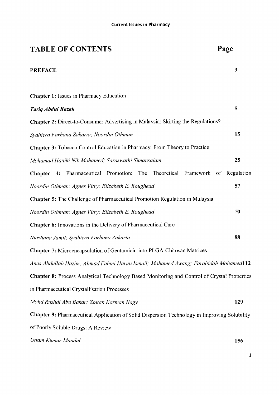| <b>TABLE OF CONTENTS</b>                                                                            | Page         |
|-----------------------------------------------------------------------------------------------------|--------------|
| <b>PREFACE</b>                                                                                      | $\mathbf{3}$ |
| <b>Chapter 1: Issues in Pharmacy Education</b>                                                      |              |
| <b>Tariq Abdul Razak</b>                                                                            | 5            |
| <b>Chapter 2:</b> Direct-to-Consumer Advertising in Malaysia: Skirting the Regulations?             |              |
| Syahiera Farhana Zakaria; Noordin Othman                                                            | 15           |
| Chapter 3: Tobacco Control Education in Pharmacy: From Theory to Practice                           |              |
| Mohamad Haniki Nik Mohamed; Saraswathi Simansalam                                                   | 25           |
| Chapter 4: Pharmaceutical Promotion: The Theoretical Framework of Regulation                        |              |
| Noordin Othman; Agnes Vitry; Elizabeth E. Roughead                                                  | 57           |
| <b>Chapter 5:</b> The Challenge of Pharmaceutical Promotion Regulation in Malaysia                  |              |
| Noordin Othman; Agnes Vitry; Elizabeth E. Roughead                                                  | 70           |
| <b>Chapter 6:</b> Innovations in the Delivery of Pharmaceutical Care                                |              |
| Nurdiana Jamil; Syahiera Farhana Zakaria                                                            | 88           |
| Chapter 7: Microencapsulation of Gentamicin into PLGA-Chitosan Matrices                             |              |
| Anas Abdullah Hazim; Ahmad Fahmi Harun Ismail; Mohamed Awang; Farahidah Mohamed112                  |              |
| Chapter 8: Process Analytical Technology Based Monitoring and Control of Crystal Properties         |              |
| in Pharmaceutical Crystallisation Processes                                                         |              |
| Mohd Rushdi Abu Bakar; Zoltan Karman Nagy                                                           | 129          |
| <b>Chapter 9: Pharmaceutical Application of Solid Dispersion Technology in Improving Solubility</b> |              |
| of Poorly Soluble Drugs: A Review                                                                   |              |
| Uttam Kumar Mandal                                                                                  | 156          |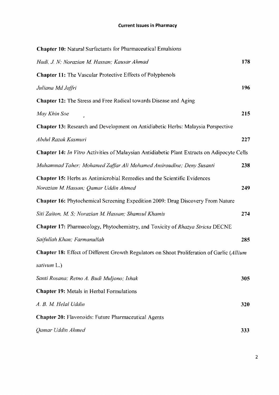| <b>Chapter 10:</b> Natural Surfactants for Pharmaceutical Emulsions                                                      |     |
|--------------------------------------------------------------------------------------------------------------------------|-----|
| Hadi, J. N; Norazian M. Hassan; Kausar Ahmad                                                                             | 178 |
| <b>Chapter 11:</b> The Vascular Protective Effects of Polyphenols                                                        |     |
| Juliana Md Jaffri                                                                                                        | 196 |
| <b>Chapter 12:</b> The Stress and Free Radical towards Disease and Aging                                                 |     |
| May Khin Soe                                                                                                             | 215 |
| Chapter 13: Research and Development on Antidiabetic Herbs: Malaysia Perspective                                         |     |
| Abdul Razak Kasmuri                                                                                                      | 227 |
| Chapter 14: In Vitro Activities of Malaysian Antidiabetic Plant Extracts on Adipocyte Cells                              |     |
| Muhammad Taher; Mohamed Zaffar Ali Mohamed Amiroudine; Deny Susanti                                                      | 238 |
| <b>Chapter 15:</b> Herbs as Antimicrobial Remedies and the Scientific Evidences<br>Norazian M. Hassan; Qamar Uddin Ahmed | 249 |
| <b>Chapter 16:</b> Phytochemical Screening Expedition 2009: Drug Discovery From Nature                                   |     |
| Siti Zaiton, M. S; Norazian M. Hassan; Shamsul Khamis                                                                    | 274 |
| Chapter 17: Pharmacology, Phytochemistry, and Toxicity of Rhazya Stricta DECNE                                           |     |
| Saifullah Khan; Farmanullah                                                                                              | 285 |
| Chapter 18: Effect of Different Growth Regulators on Shoot Proliferation of Garlic (Allium                               |     |
| sativum L.)                                                                                                              |     |
| Santi Rosana; Retno A. Budi Muljono; Ishak                                                                               | 305 |
| <b>Chapter 19:</b> Metals in Herbal Formulations                                                                         |     |
| A. B. M. Helal Uddin                                                                                                     | 320 |
| <b>Chapter 20:</b> Flavonoids: Future Pharmaceutical Agents                                                              |     |
| Qamar Uddin Ahmed                                                                                                        | 333 |